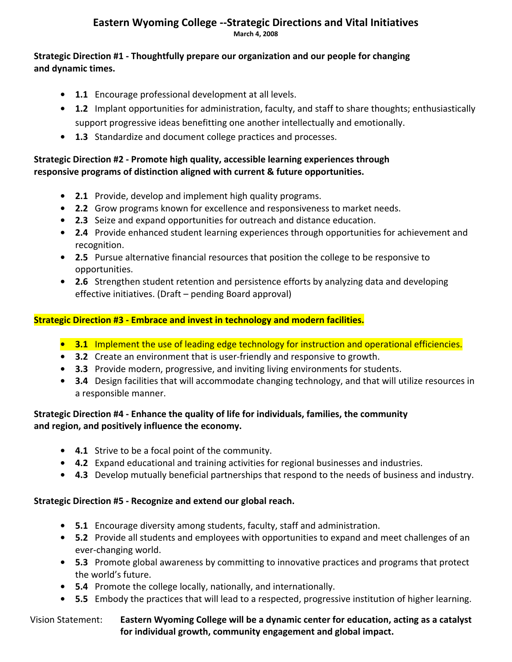#### **Eastern Wyoming College ‐‐Strategic Directions and Vital Initiatives March 4, 2008**

#### **Strategic Direction #1 ‐ Thoughtfully prepare our organization and our people for changing and dynamic times.**

- **1.1** Encourage professional development at all levels.
- **• 1.2** Implant opportunities for administration, faculty, and staff to share thoughts; enthusiastically support progressive ideas benefitting one another intellectually and emotionally.
- **• 1.3** Standardize and document college practices and processes.

#### **Strategic Direction #2 ‐ Promote high quality, accessible learning experiences through responsive programs of distinction aligned with current & future opportunities.**

- **• 2.1** Provide, develop and implement high quality programs.
- **• 2.2** Grow programs known for excellence and responsiveness to market needs.
- **• 2.3** Seize and expand opportunities for outreach and distance education.
- **• 2.4** Provide enhanced student learning experiences through opportunities for achievement and recognition.
- **• 2.5** Pursue alternative financial resources that position the college to be responsive to opportunities.
- **• 2.6** Strengthen student retention and persistence efforts by analyzing data and developing effective initiatives. (Draft – pending Board approval)

### **Strategic Direction #3 ‐ Embrace and invest in technology and modern facilities.**

### **• 3.1** Implement the use of leading edge technology for instruction and operational efficiencies.

- **• 3.2** Create an environment that is user‐friendly and responsive to growth.
- **• 3.3** Provide modern, progressive, and inviting living environments for students.
- **• 3.4** Design facilities that will accommodate changing technology, and that will utilize resources in a responsible manner.

#### **Strategic Direction #4 ‐ Enhance the quality of life for individuals, families, the community and region, and positively influence the economy.**

- **• 4.1** Strive to be a focal point of the community.
- **• 4.2** Expand educational and training activities for regional businesses and industries.
- **• 4.3** Develop mutually beneficial partnerships that respond to the needs of business and industry.

### **Strategic Direction #5 ‐ Recognize and extend our global reach.**

- **• 5.1** Encourage diversity among students, faculty, staff and administration.
- **• 5.2** Provide all students and employees with opportunities to expand and meet challenges of an ever‐changing world.
- **• 5.3** Promote global awareness by committing to innovative practices and programs that protect the world's future.
- **• 5.4** Promote the college locally, nationally, and internationally.
- **• 5.5** Embody the practices that will lead to a respected, progressive institution of higher learning.

#### Vision Statement: **Eastern Wyoming College will be a dynamic center for education, acting as a catalyst for individual growth, community engagement and global impact.**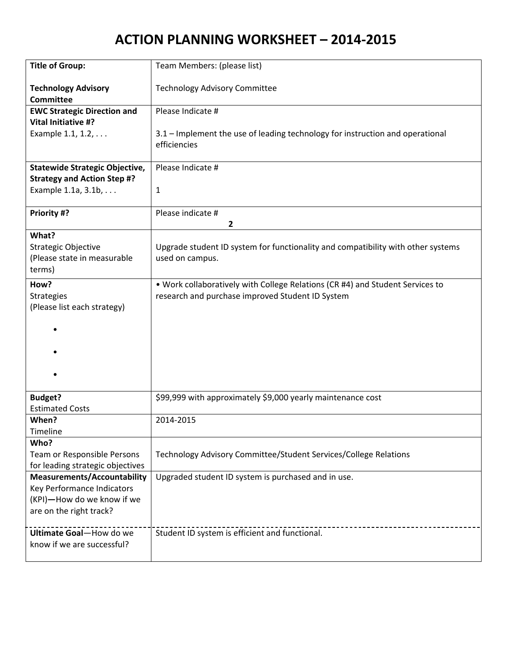| <b>Title of Group:</b>                         | Team Members: (please list)                                                      |
|------------------------------------------------|----------------------------------------------------------------------------------|
| <b>Technology Advisory</b><br><b>Committee</b> | <b>Technology Advisory Committee</b>                                             |
| <b>EWC Strategic Direction and</b>             | Please Indicate #                                                                |
| Vital Initiative #?                            |                                                                                  |
| Example 1.1, 1.2,                              | 3.1 - Implement the use of leading technology for instruction and operational    |
|                                                | efficiencies                                                                     |
| <b>Statewide Strategic Objective,</b>          | Please Indicate #                                                                |
| <b>Strategy and Action Step #?</b>             |                                                                                  |
| Example 1.1a, 3.1b,                            | 1                                                                                |
| Priority #?                                    | Please indicate #<br>$\overline{2}$                                              |
| What?                                          |                                                                                  |
| Strategic Objective                            | Upgrade student ID system for functionality and compatibility with other systems |
| (Please state in measurable                    | used on campus.                                                                  |
| terms)                                         |                                                                                  |
| How?                                           | . Work collaboratively with College Relations (CR #4) and Student Services to    |
| Strategies                                     | research and purchase improved Student ID System                                 |
| (Please list each strategy)                    |                                                                                  |
|                                                |                                                                                  |
|                                                |                                                                                  |
|                                                |                                                                                  |
|                                                |                                                                                  |
|                                                |                                                                                  |
|                                                |                                                                                  |
|                                                |                                                                                  |
| <b>Budget?</b>                                 | \$99,999 with approximately \$9,000 yearly maintenance cost                      |
| <b>Estimated Costs</b>                         |                                                                                  |
| When?                                          | 2014-2015                                                                        |
| Timeline                                       |                                                                                  |
| Who?                                           |                                                                                  |
| Team or Responsible Persons                    | Technology Advisory Committee/Student Services/College Relations                 |
| for leading strategic objectives               |                                                                                  |
| <b>Measurements/Accountability</b>             | Upgraded student ID system is purchased and in use.                              |
| Key Performance Indicators                     |                                                                                  |
| (KPI)-How do we know if we                     |                                                                                  |
| are on the right track?                        |                                                                                  |
| Ultimate Goal-How do we                        |                                                                                  |
| know if we are successful?                     | Student ID system is efficient and functional.                                   |
|                                                |                                                                                  |
|                                                |                                                                                  |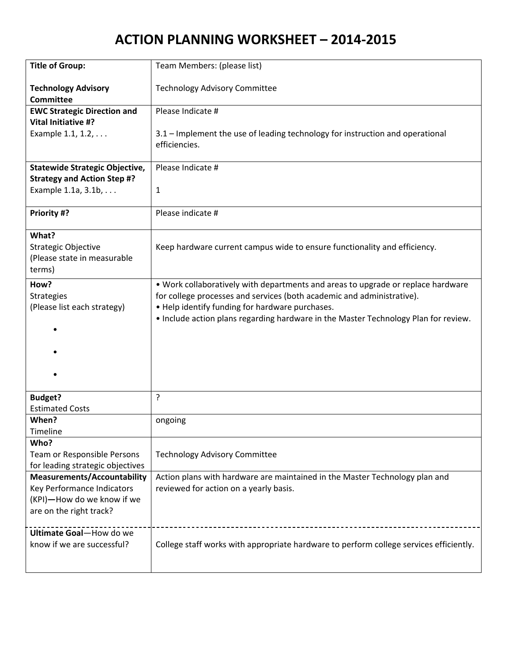| <b>Title of Group:</b>                         | Team Members: (please list)                                                                    |
|------------------------------------------------|------------------------------------------------------------------------------------------------|
| <b>Technology Advisory</b><br><b>Committee</b> | <b>Technology Advisory Committee</b>                                                           |
| <b>EWC Strategic Direction and</b>             | Please Indicate #                                                                              |
| <b>Vital Initiative #?</b>                     |                                                                                                |
| Example 1.1, 1.2,                              | 3.1 - Implement the use of leading technology for instruction and operational<br>efficiencies. |
| <b>Statewide Strategic Objective,</b>          | Please Indicate #                                                                              |
| <b>Strategy and Action Step #?</b>             |                                                                                                |
| Example 1.1a, 3.1b,                            | $\mathbf{1}$                                                                                   |
| Priority #?                                    | Please indicate #                                                                              |
| What?                                          |                                                                                                |
| <b>Strategic Objective</b>                     | Keep hardware current campus wide to ensure functionality and efficiency.                      |
| (Please state in measurable                    |                                                                                                |
| terms)                                         |                                                                                                |
| How?                                           | . Work collaboratively with departments and areas to upgrade or replace hardware               |
| <b>Strategies</b>                              | for college processes and services (both academic and administrative).                         |
| (Please list each strategy)                    | . Help identify funding for hardware purchases.                                                |
|                                                | . Include action plans regarding hardware in the Master Technology Plan for review.            |
|                                                |                                                                                                |
|                                                |                                                                                                |
|                                                |                                                                                                |
|                                                |                                                                                                |
|                                                |                                                                                                |
| <b>Budget?</b>                                 | ?                                                                                              |
| <b>Estimated Costs</b>                         |                                                                                                |
| When?                                          | ongoing                                                                                        |
| Timeline                                       |                                                                                                |
| Who?                                           |                                                                                                |
| Team or Responsible Persons                    | <b>Technology Advisory Committee</b>                                                           |
| for leading strategic objectives               |                                                                                                |
| <b>Measurements/Accountability</b>             | Action plans with hardware are maintained in the Master Technology plan and                    |
| Key Performance Indicators                     | reviewed for action on a yearly basis.                                                         |
| (KPI)-How do we know if we                     |                                                                                                |
| are on the right track?                        |                                                                                                |
|                                                |                                                                                                |
| Ultimate Goal-How do we                        |                                                                                                |
| know if we are successful?                     | College staff works with appropriate hardware to perform college services efficiently.         |
|                                                |                                                                                                |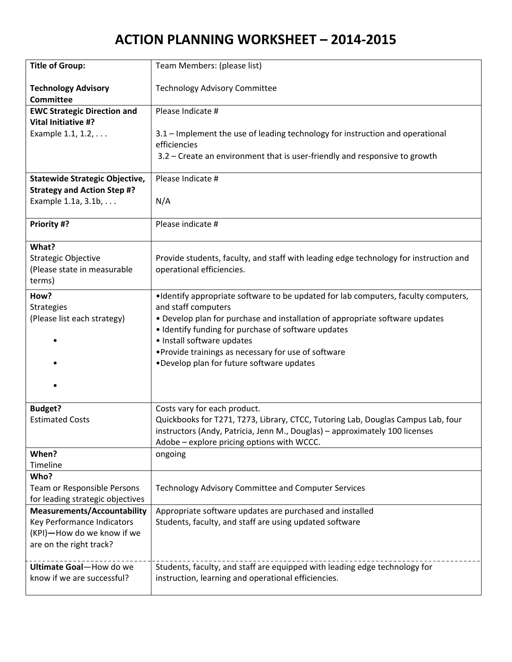| <b>Title of Group:</b>                | Team Members: (please list)                                                           |
|---------------------------------------|---------------------------------------------------------------------------------------|
| <b>Technology Advisory</b>            | <b>Technology Advisory Committee</b>                                                  |
| <b>Committee</b>                      |                                                                                       |
| <b>EWC Strategic Direction and</b>    | Please Indicate #                                                                     |
| Vital Initiative #?                   |                                                                                       |
| Example 1.1, 1.2,                     | 3.1 - Implement the use of leading technology for instruction and operational         |
|                                       | efficiencies                                                                          |
|                                       | 3.2 – Create an environment that is user-friendly and responsive to growth            |
| <b>Statewide Strategic Objective,</b> | Please Indicate #                                                                     |
| <b>Strategy and Action Step #?</b>    |                                                                                       |
| Example 1.1a, 3.1b,                   | N/A                                                                                   |
|                                       |                                                                                       |
| Priority #?                           | Please indicate #                                                                     |
| What?                                 |                                                                                       |
| Strategic Objective                   | Provide students, faculty, and staff with leading edge technology for instruction and |
| (Please state in measurable           | operational efficiencies.                                                             |
| terms)                                |                                                                                       |
| How?                                  | •Identify appropriate software to be updated for lab computers, faculty computers,    |
| <b>Strategies</b>                     | and staff computers                                                                   |
| (Please list each strategy)           | • Develop plan for purchase and installation of appropriate software updates          |
|                                       | • Identify funding for purchase of software updates                                   |
|                                       | · Install software updates                                                            |
|                                       | • Provide trainings as necessary for use of software                                  |
|                                       | •Develop plan for future software updates                                             |
|                                       |                                                                                       |
|                                       |                                                                                       |
| <b>Budget?</b>                        | Costs vary for each product.                                                          |
| <b>Estimated Costs</b>                | Quickbooks for T271, T273, Library, CTCC, Tutoring Lab, Douglas Campus Lab, four      |
|                                       | instructors (Andy, Patricia, Jenn M., Douglas) - approximately 100 licenses           |
|                                       | Adobe - explore pricing options with WCCC.                                            |
| When?                                 | ongoing                                                                               |
| Timeline                              |                                                                                       |
| Who?                                  |                                                                                       |
| Team or Responsible Persons           | <b>Technology Advisory Committee and Computer Services</b>                            |
| for leading strategic objectives      |                                                                                       |
| <b>Measurements/Accountability</b>    | Appropriate software updates are purchased and installed                              |
| Key Performance Indicators            | Students, faculty, and staff are using updated software                               |
| (KPI)-How do we know if we            |                                                                                       |
| are on the right track?               |                                                                                       |
| Ultimate Goal-How do we               | Students, faculty, and staff are equipped with leading edge technology for            |
| know if we are successful?            | instruction, learning and operational efficiencies.                                   |
|                                       |                                                                                       |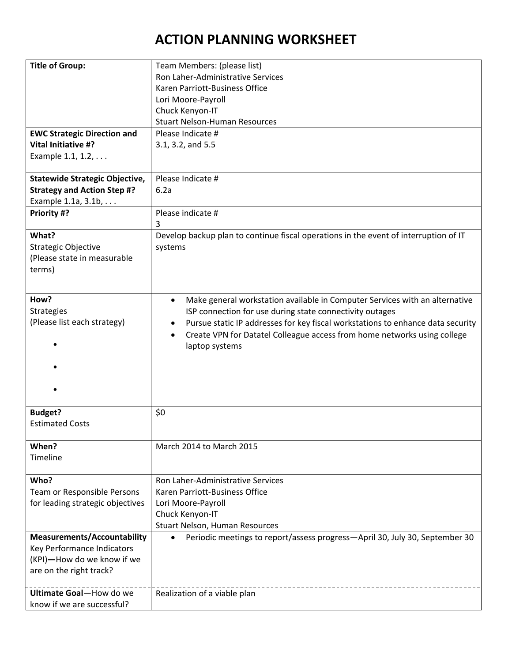## **ACTION PLANNING WORKSHEET**

| <b>Title of Group:</b>                | Team Members: (please list)                                                              |
|---------------------------------------|------------------------------------------------------------------------------------------|
|                                       | Ron Laher-Administrative Services                                                        |
|                                       | Karen Parriott-Business Office                                                           |
|                                       | Lori Moore-Payroll                                                                       |
|                                       | Chuck Kenyon-IT                                                                          |
|                                       | <b>Stuart Nelson-Human Resources</b>                                                     |
| <b>EWC Strategic Direction and</b>    | Please Indicate #                                                                        |
| <b>Vital Initiative #?</b>            | 3.1, 3.2, and 5.5                                                                        |
| Example 1.1, 1.2,                     |                                                                                          |
|                                       |                                                                                          |
| <b>Statewide Strategic Objective,</b> | Please Indicate #                                                                        |
| <b>Strategy and Action Step #?</b>    | 6.2a                                                                                     |
| Example 1.1a, 3.1b,                   |                                                                                          |
| Priority #?                           | Please indicate #                                                                        |
|                                       | 3                                                                                        |
| What?                                 | Develop backup plan to continue fiscal operations in the event of interruption of IT     |
| <b>Strategic Objective</b>            | systems                                                                                  |
| (Please state in measurable           |                                                                                          |
| terms)                                |                                                                                          |
|                                       |                                                                                          |
|                                       |                                                                                          |
| How?                                  | Make general workstation available in Computer Services with an alternative<br>$\bullet$ |
| <b>Strategies</b>                     | ISP connection for use during state connectivity outages                                 |
| (Please list each strategy)           | Pursue static IP addresses for key fiscal workstations to enhance data security          |
|                                       | Create VPN for Datatel Colleague access from home networks using college                 |
|                                       | laptop systems                                                                           |
|                                       |                                                                                          |
|                                       |                                                                                          |
|                                       |                                                                                          |
|                                       |                                                                                          |
|                                       |                                                                                          |
| <b>Budget?</b>                        | \$0                                                                                      |
| <b>Estimated Costs</b>                |                                                                                          |
|                                       |                                                                                          |
| When?                                 | March 2014 to March 2015                                                                 |
| Timeline                              |                                                                                          |
|                                       |                                                                                          |
| Who?                                  | Ron Laher-Administrative Services                                                        |
| Team or Responsible Persons           | Karen Parriott-Business Office                                                           |
| for leading strategic objectives      | Lori Moore-Payroll                                                                       |
|                                       | Chuck Kenyon-IT                                                                          |
|                                       | Stuart Nelson, Human Resources                                                           |
| <b>Measurements/Accountability</b>    | $\bullet$                                                                                |
|                                       | Periodic meetings to report/assess progress-April 30, July 30, September 30              |
| Key Performance Indicators            |                                                                                          |
| (KPI)-How do we know if we            |                                                                                          |
| are on the right track?               |                                                                                          |
|                                       |                                                                                          |
| Ultimate Goal-How do we               | Realization of a viable plan                                                             |
| know if we are successful?            |                                                                                          |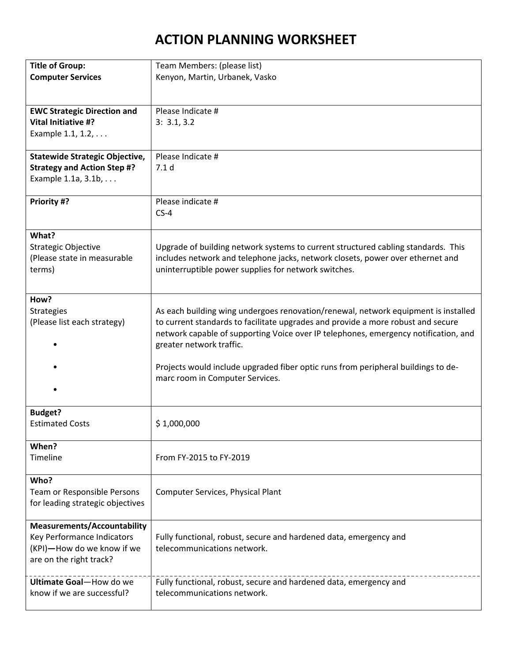# **ACTION PLANNING WORKSHEET**

| <b>Title of Group:</b>                   | Team Members: (please list)                                                         |
|------------------------------------------|-------------------------------------------------------------------------------------|
| <b>Computer Services</b>                 | Kenyon, Martin, Urbanek, Vasko                                                      |
|                                          |                                                                                     |
|                                          |                                                                                     |
| <b>EWC Strategic Direction and</b>       | Please Indicate #                                                                   |
| Vital Initiative #?                      | 3: 3.1, 3.2                                                                         |
| Example 1.1, 1.2,                        |                                                                                     |
|                                          |                                                                                     |
| <b>Statewide Strategic Objective,</b>    | Please Indicate #                                                                   |
| <b>Strategy and Action Step #?</b>       | 7.1 <sub>d</sub>                                                                    |
| Example 1.1a, 3.1b,                      |                                                                                     |
|                                          |                                                                                     |
| Priority #?                              | Please indicate #                                                                   |
|                                          | $CS-4$                                                                              |
|                                          |                                                                                     |
| What?                                    |                                                                                     |
| Strategic Objective                      | Upgrade of building network systems to current structured cabling standards. This   |
| (Please state in measurable              | includes network and telephone jacks, network closets, power over ethernet and      |
| terms)                                   | uninterruptible power supplies for network switches.                                |
|                                          |                                                                                     |
|                                          |                                                                                     |
| How?                                     |                                                                                     |
| <b>Strategies</b>                        | As each building wing undergoes renovation/renewal, network equipment is installed  |
| (Please list each strategy)              | to current standards to facilitate upgrades and provide a more robust and secure    |
|                                          | network capable of supporting Voice over IP telephones, emergency notification, and |
|                                          | greater network traffic.                                                            |
|                                          |                                                                                     |
|                                          | Projects would include upgraded fiber optic runs from peripheral buildings to de-   |
|                                          | marc room in Computer Services.                                                     |
|                                          |                                                                                     |
|                                          |                                                                                     |
| <b>Budget?</b><br><b>Estimated Costs</b> | \$1,000,000                                                                         |
|                                          |                                                                                     |
| When?                                    |                                                                                     |
| Timeline                                 | From FY-2015 to FY-2019                                                             |
|                                          |                                                                                     |
| Who?                                     |                                                                                     |
| Team or Responsible Persons              | Computer Services, Physical Plant                                                   |
| for leading strategic objectives         |                                                                                     |
|                                          |                                                                                     |
| <b>Measurements/Accountability</b>       |                                                                                     |
| Key Performance Indicators               | Fully functional, robust, secure and hardened data, emergency and                   |
| (KPI)-How do we know if we               | telecommunications network.                                                         |
| are on the right track?                  |                                                                                     |
|                                          |                                                                                     |
| Ultimate Goal-How do we                  | Fully functional, robust, secure and hardened data, emergency and                   |
| know if we are successful?               | telecommunications network.                                                         |
|                                          |                                                                                     |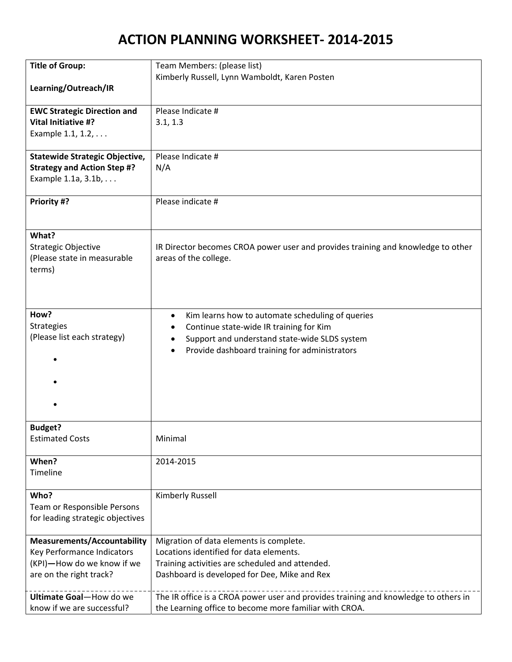| <b>Title of Group:</b>                | Team Members: (please list)                                                         |
|---------------------------------------|-------------------------------------------------------------------------------------|
|                                       | Kimberly Russell, Lynn Wamboldt, Karen Posten                                       |
| Learning/Outreach/IR                  |                                                                                     |
|                                       |                                                                                     |
| <b>EWC Strategic Direction and</b>    | Please Indicate #                                                                   |
| <b>Vital Initiative #?</b>            | 3.1, 1.3                                                                            |
| Example 1.1, 1.2,                     |                                                                                     |
|                                       |                                                                                     |
| <b>Statewide Strategic Objective,</b> | Please Indicate #                                                                   |
| <b>Strategy and Action Step #?</b>    | N/A                                                                                 |
| Example 1.1a, 3.1b,                   |                                                                                     |
|                                       |                                                                                     |
| Priority #?                           | Please indicate #                                                                   |
|                                       |                                                                                     |
|                                       |                                                                                     |
| What?                                 |                                                                                     |
| <b>Strategic Objective</b>            | IR Director becomes CROA power user and provides training and knowledge to other    |
| (Please state in measurable           | areas of the college.                                                               |
| terms)                                |                                                                                     |
|                                       |                                                                                     |
|                                       |                                                                                     |
|                                       |                                                                                     |
| How?                                  | Kim learns how to automate scheduling of queries<br>٠                               |
| <b>Strategies</b>                     | Continue state-wide IR training for Kim                                             |
| (Please list each strategy)           | Support and understand state-wide SLDS system                                       |
|                                       | Provide dashboard training for administrators                                       |
|                                       |                                                                                     |
|                                       |                                                                                     |
|                                       |                                                                                     |
|                                       |                                                                                     |
|                                       |                                                                                     |
| <b>Budget?</b>                        |                                                                                     |
| <b>Estimated Costs</b>                | Minimal                                                                             |
|                                       |                                                                                     |
| When?                                 | 2014-2015                                                                           |
| Timeline                              |                                                                                     |
|                                       |                                                                                     |
| Who?                                  | Kimberly Russell                                                                    |
| Team or Responsible Persons           |                                                                                     |
| for leading strategic objectives      |                                                                                     |
|                                       |                                                                                     |
| <b>Measurements/Accountability</b>    | Migration of data elements is complete.                                             |
| Key Performance Indicators            | Locations identified for data elements.                                             |
| (KPI)-How do we know if we            | Training activities are scheduled and attended.                                     |
| are on the right track?               | Dashboard is developed for Dee, Mike and Rex                                        |
|                                       |                                                                                     |
| Ultimate Goal-How do we               | The IR office is a CROA power user and provides training and knowledge to others in |
| know if we are successful?            | the Learning office to become more familiar with CROA.                              |